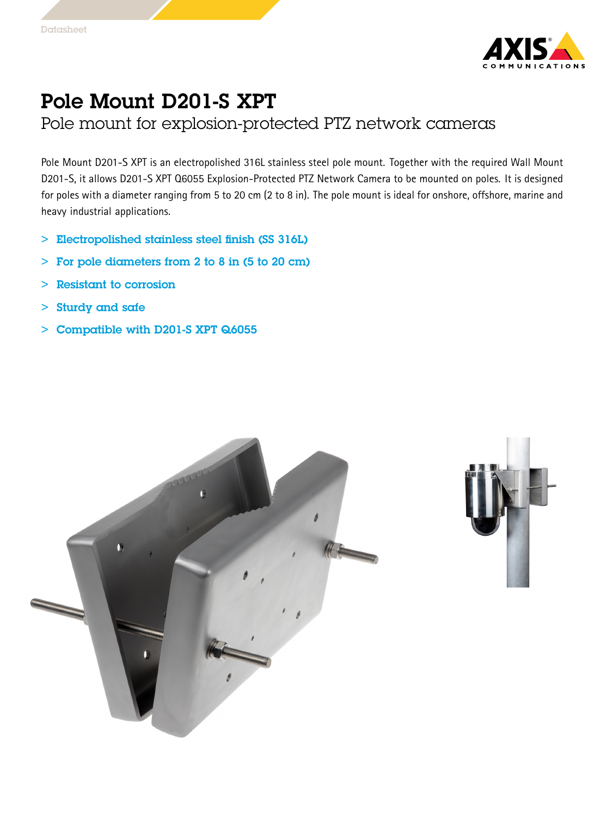

## Pole Mount D201-S XPT

Pole mount for explosion-protected PTZ network cameras

Pole Mount D201-S XPT is an electropolished 316L stainless steel pole mount. Together with the required Wall Mount D201-S, it allows D201-S XPT Q6055 Explosion-Protected PTZ Network Camera to be mounted on poles. It is designed for poles with <sup>a</sup> diameter ranging from <sup>5</sup> to <sup>20</sup> cm (2 to <sup>8</sup> in). The pole mount is ideal for onshore, offshore, marine and heavy industrial applications.

- > Electropolished stainless steel finish (SS 316L)
- $\geq$ For pole diameters from 2 to 8 in (5 to 20 cm)
- >Resistant to corrosion
- >Sturdy and safe
- > Compatible with D201-S XPT Q6055